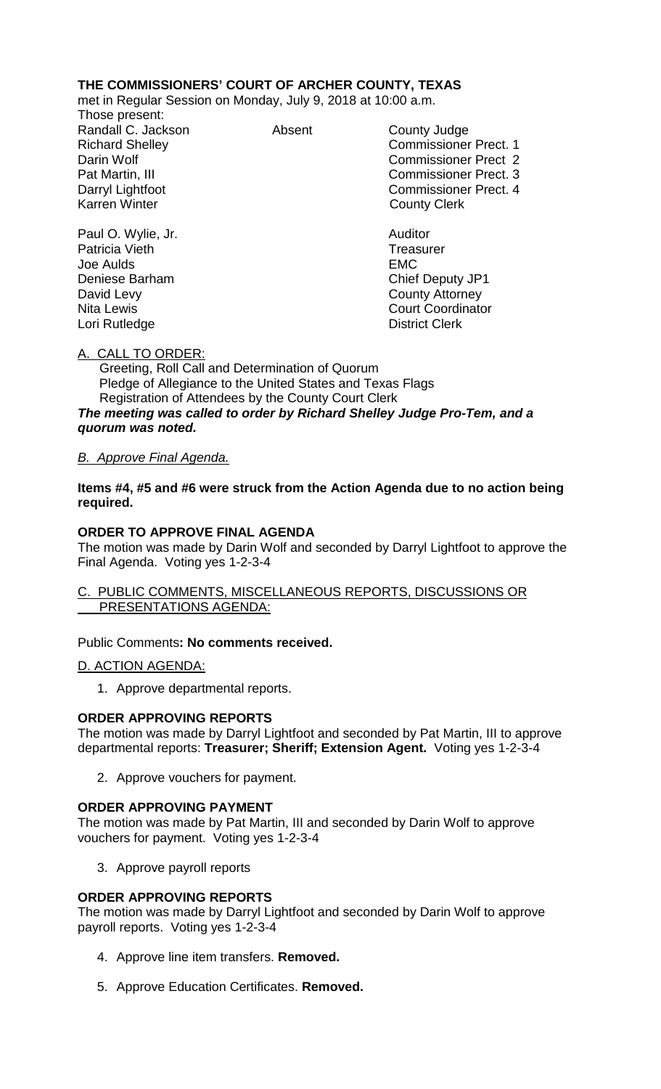### **THE COMMISSIONERS' COURT OF ARCHER COUNTY, TEXAS**

met in Regular Session on Monday, July 9, 2018 at 10:00 a.m.

Those present: Randall C. Jackson **Absent** County Judge

Richard Shelley **Commissioner Prect. 1** Darin Wolf Commissioner Prect 2 Pat Martin, III Commissioner Prect. 3 Darryl Lightfoot **Commissioner Prect. 4**<br>
Karren Winter **County County Clerk County Clerk** 

Paul O. Wylie, Jr. Auditor Joe Aulds EMC Deniese Barham Chief Deputy JP1 David Levy **County Attorney** Nita Lewis **Court Coordinator** Court Coordinator

Lori Rutledge **District Clerk** 

Patricia Vieth

# A. CALL TO ORDER:

 Greeting, Roll Call and Determination of Quorum Pledge of Allegiance to the United States and Texas Flags Registration of Attendees by the County Court Clerk *The meeting was called to order by Richard Shelley Judge Pro-Tem, and a quorum was noted.*

# *B. Approve Final Agenda.*

**Items #4, #5 and #6 were struck from the Action Agenda due to no action being required.**

# **ORDER TO APPROVE FINAL AGENDA**

The motion was made by Darin Wolf and seconded by Darryl Lightfoot to approve the Final Agenda. Voting yes 1-2-3-4

#### C. PUBLIC COMMENTS, MISCELLANEOUS REPORTS, DISCUSSIONS OR PRESENTATIONS AGENDA:

### Public Comments**: No comments received.**

### D. ACTION AGENDA:

1. Approve departmental reports.

### **ORDER APPROVING REPORTS**

The motion was made by Darryl Lightfoot and seconded by Pat Martin, III to approve departmental reports: **Treasurer; Sheriff; Extension Agent.** Voting yes 1-2-3-4

2. Approve vouchers for payment.

### **ORDER APPROVING PAYMENT**

The motion was made by Pat Martin, III and seconded by Darin Wolf to approve vouchers for payment. Voting yes 1-2-3-4

3. Approve payroll reports

### **ORDER APPROVING REPORTS**

The motion was made by Darryl Lightfoot and seconded by Darin Wolf to approve payroll reports. Voting yes 1-2-3-4

- 4. Approve line item transfers. **Removed.**
- 5. Approve Education Certificates. **Removed.**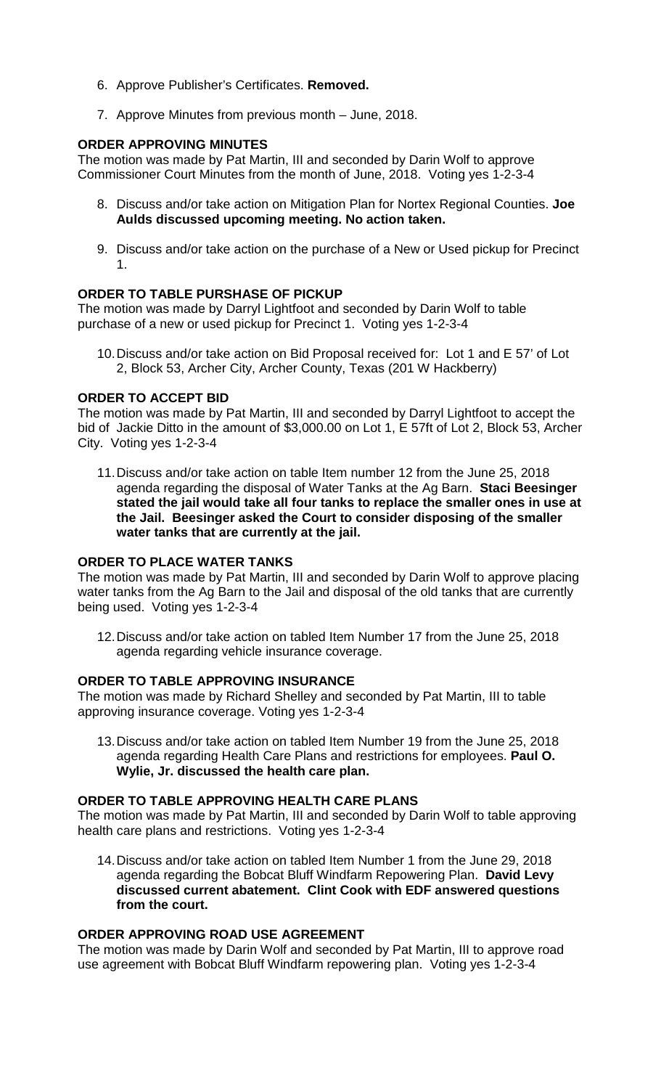- 6. Approve Publisher's Certificates. **Removed.**
- 7. Approve Minutes from previous month June, 2018.

### **ORDER APPROVING MINUTES**

The motion was made by Pat Martin, III and seconded by Darin Wolf to approve Commissioner Court Minutes from the month of June, 2018. Voting yes 1-2-3-4

- 8. Discuss and/or take action on Mitigation Plan for Nortex Regional Counties. **Joe Aulds discussed upcoming meeting. No action taken.**
- 9. Discuss and/or take action on the purchase of a New or Used pickup for Precinct 1.

# **ORDER TO TABLE PURSHASE OF PICKUP**

The motion was made by Darryl Lightfoot and seconded by Darin Wolf to table purchase of a new or used pickup for Precinct 1. Voting yes 1-2-3-4

10.Discuss and/or take action on Bid Proposal received for: Lot 1 and E 57' of Lot 2, Block 53, Archer City, Archer County, Texas (201 W Hackberry)

### **ORDER TO ACCEPT BID**

The motion was made by Pat Martin, III and seconded by Darryl Lightfoot to accept the bid of Jackie Ditto in the amount of \$3,000.00 on Lot 1, E 57ft of Lot 2, Block 53, Archer City. Voting yes 1-2-3-4

11.Discuss and/or take action on table Item number 12 from the June 25, 2018 agenda regarding the disposal of Water Tanks at the Ag Barn. **Staci Beesinger stated the jail would take all four tanks to replace the smaller ones in use at the Jail. Beesinger asked the Court to consider disposing of the smaller water tanks that are currently at the jail.**

### **ORDER TO PLACE WATER TANKS**

The motion was made by Pat Martin, III and seconded by Darin Wolf to approve placing water tanks from the Ag Barn to the Jail and disposal of the old tanks that are currently being used. Voting yes 1-2-3-4

12.Discuss and/or take action on tabled Item Number 17 from the June 25, 2018 agenda regarding vehicle insurance coverage.

### **ORDER TO TABLE APPROVING INSURANCE**

The motion was made by Richard Shelley and seconded by Pat Martin, III to table approving insurance coverage. Voting yes 1-2-3-4

13.Discuss and/or take action on tabled Item Number 19 from the June 25, 2018 agenda regarding Health Care Plans and restrictions for employees. **Paul O. Wylie, Jr. discussed the health care plan.**

### **ORDER TO TABLE APPROVING HEALTH CARE PLANS**

The motion was made by Pat Martin, III and seconded by Darin Wolf to table approving health care plans and restrictions. Voting yes 1-2-3-4

14.Discuss and/or take action on tabled Item Number 1 from the June 29, 2018 agenda regarding the Bobcat Bluff Windfarm Repowering Plan. **David Levy discussed current abatement. Clint Cook with EDF answered questions from the court.**

### **ORDER APPROVING ROAD USE AGREEMENT**

The motion was made by Darin Wolf and seconded by Pat Martin, III to approve road use agreement with Bobcat Bluff Windfarm repowering plan. Voting yes 1-2-3-4